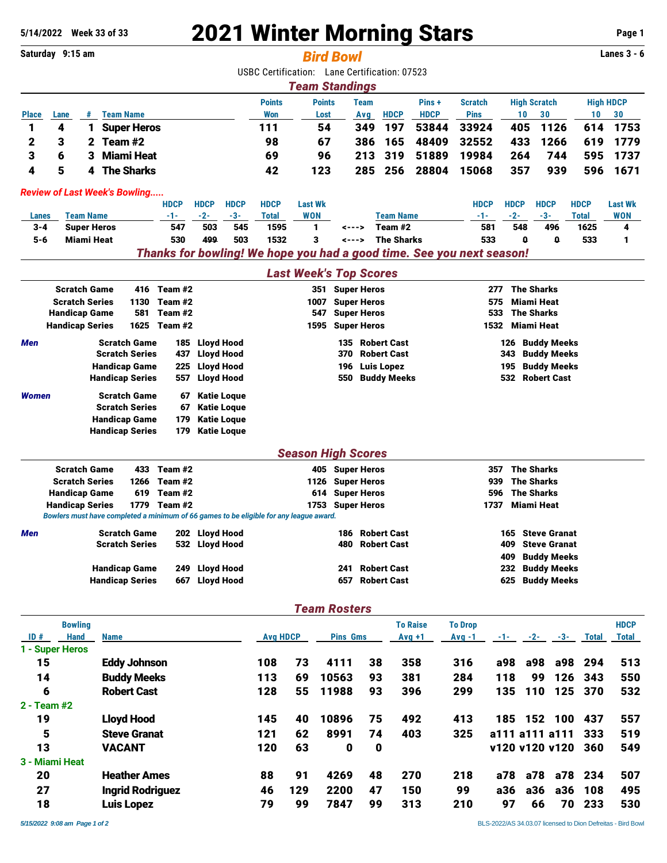## **5/14/2022 Week 33 of 33** 2021 Winter Morning Stars **Page 1**

**Saturday 9:15 am** *Bird Bowl* **Lanes 3 - 6** USBC Certification: Lane Certification: 07523 *Team Standings* **Points Points Team Pins + Scratch High Scratch High HDCP Place Lane # Team Name Won Lost Avg HDCP HDCP Pins 10 30 10 30** 1 4 1 Super Heros 111 54 349 197 53844 33924 405 1126 614 1753 2 3 2 Team #2 98 67 386 165 48409 32552 433 1266 619 1779 3 6 3 Miami Heat 69 96 213 319 51889 19984 264 744 595 1737 4 5 4 The Sharks 42 123 285 256 28804 15068 357 939 596 1671 *Review of Last Week's Bowling.....* **HDCP HDCP HDCP HDCP Last Wk HDCP HDCP HDCP HDCP Last Wk Lanes Team Name -1- -2- -3- Total WON Team Name -1- -2- -3- Total WON** 3-4 Super Heros 547 503 545 1595 1 <---> Team #2 581 548 496 1625 4 5-6 Miami Heat 530 499 503 1532 3 <---> The Sharks 533 0 0 533 1 *Thanks for bowling! We hope you had a good time. See you next season! Last Week's Top Scores* Scratch Game  $416$  Team #2 351 Super Heros 277 The Sharks Scratch Series 1130 Team #2 1007 Super Heros 575 Miami Heat Handicap Game 581 Team #2 547 Super Heros 533 The Sharks Handicap Series 1625 Team #2 1595 Super Heros 1532 Miami Heat **Men** Scratch Game 185 Lloyd Hood 135 Robert Cast 126 Buddy Meeks Scratch Series 3437 Lloyd Hood 370 Robert Cast 343 Buddy Meeks Handicap Game 225 Lloyd Hood 196 Luis Lopez 195 Buddy Meeks Handicap Series 557 Lloyd Hood 550 Buddy Meeks 532 Robert Cast *Women* Scratch Game 67 Katie Loque Scratch Series 67 Katie Loque Handicap Game 179 Katie Loque Handicap Series 179 Katie Loque *Season High Scores* Scratch Game 433 Team #2 405 Super Heros 357 The Sharks Scratch Series 1266 Team #2 1126 Super Heros 1126 Super Heros 939 The Sharks Handicap Game 619 Team #2 614 Super Heros 596 The Sharks Handicap Series 1779 Team #2 1753 Super Heros 1753 Super Heros 1737 Miami Heat *Bowlers must have completed a minimum of 66 games to be eligible for any league award.* **Men** Scratch Game 202 Lloyd Hood 186 Robert Cast 165 Steve Granat Scratch Series 532 Lloyd Hood 480 Robert Cast 409 Steve Granat 409 Buddy Meeks Handicap Game 249 Lloyd Hood 241 Robert Cast 232 Buddy Meeks Handicap Series 667 Lloyd Hood 657 Robert Cast 625 Buddy Meeks *Team Rosters* **Bowling To Raise To Drop HDCP ID # Hand Name Avg HDCP Pins Gms Avg +1 Avg -1 -1- -2- -3- Total Total 1 - Super Heros** 15 Eddy Johnson 108 73 4111 38 358 316 a98 a98 a98 294 513 14 Buddy Meeks 113 69 10563 93 381 284 118 99 126 343 550 6 Robert Cast 128 55 11988 93 396 299 135 110 125 370 532

19 Lloyd Hood 145 40 10896 75 492 413 185 152 100 437 557 5 Steve Granat 121 62 8991 74 403 325 a111 a111 a111 333 519 13 VACANT 120 63 0 0 v120 v120 v120 360 549

20 Heather Ames 88 91 4269 48 270 218 a78 a78 a78 234 507 27 Ingrid Rodriguez 46 129 2200 47 150 99 a36 a36 a36 108 495 18 Luis Lopez 79 99 7847 99 313 210 97 66 70 233 530

**2 - Team #2**

**3 - Miami Heat**